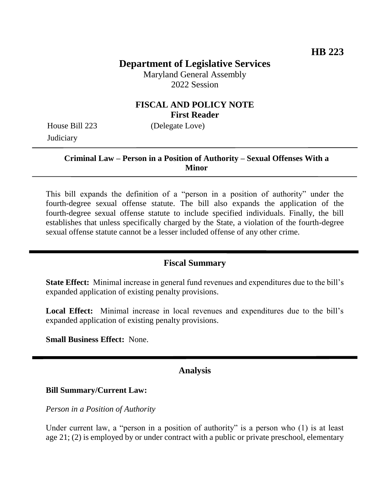# **Department of Legislative Services**

Maryland General Assembly 2022 Session

## **FISCAL AND POLICY NOTE First Reader**

House Bill 223 (Delegate Love) **Judiciary** 

### **Criminal Law – Person in a Position of Authority – Sexual Offenses With a Minor**

This bill expands the definition of a "person in a position of authority" under the fourth-degree sexual offense statute. The bill also expands the application of the fourth-degree sexual offense statute to include specified individuals. Finally, the bill establishes that unless specifically charged by the State, a violation of the fourth-degree sexual offense statute cannot be a lesser included offense of any other crime.

#### **Fiscal Summary**

**State Effect:** Minimal increase in general fund revenues and expenditures due to the bill's expanded application of existing penalty provisions.

**Local Effect:** Minimal increase in local revenues and expenditures due to the bill's expanded application of existing penalty provisions.

**Small Business Effect:** None.

#### **Analysis**

**Bill Summary/Current Law:**

*Person in a Position of Authority*

Under current law, a "person in a position of authority" is a person who (1) is at least age 21; (2) is employed by or under contract with a public or private preschool, elementary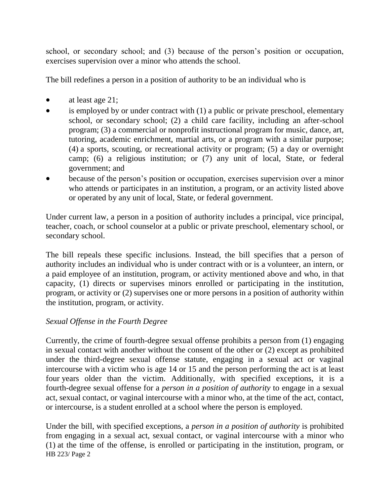school, or secondary school; and (3) because of the person's position or occupation, exercises supervision over a minor who attends the school.

The bill redefines a person in a position of authority to be an individual who is

- $\bullet$  at least age 21;
- is employed by or under contract with (1) a public or private preschool, elementary school, or secondary school; (2) a child care facility, including an after-school program; (3) a commercial or nonprofit instructional program for music, dance, art, tutoring, academic enrichment, martial arts, or a program with a similar purpose; (4) a sports, scouting, or recreational activity or program; (5) a day or overnight camp; (6) a religious institution; or (7) any unit of local, State, or federal government; and
- because of the person's position or occupation, exercises supervision over a minor who attends or participates in an institution, a program, or an activity listed above or operated by any unit of local, State, or federal government.

Under current law, a person in a position of authority includes a principal, vice principal, teacher, coach, or school counselor at a public or private preschool, elementary school, or secondary school.

The bill repeals these specific inclusions. Instead, the bill specifies that a person of authority includes an individual who is under contract with or is a volunteer, an intern, or a paid employee of an institution, program, or activity mentioned above and who, in that capacity, (1) directs or supervises minors enrolled or participating in the institution, program, or activity or (2) supervises one or more persons in a position of authority within the institution, program, or activity.

### *Sexual Offense in the Fourth Degree*

Currently, the crime of fourth-degree sexual offense prohibits a person from (1) engaging in sexual contact with another without the consent of the other or (2) except as prohibited under the third-degree sexual offense statute, engaging in a sexual act or vaginal intercourse with a victim who is age 14 or 15 and the person performing the act is at least four years older than the victim. Additionally, with specified exceptions, it is a fourth-degree sexual offense for a *person in a position of authority* to engage in a sexual act, sexual contact, or vaginal intercourse with a minor who, at the time of the act, contact, or intercourse, is a student enrolled at a school where the person is employed.

HB 223/ Page 2 Under the bill, with specified exceptions, a *person in a position of authority* is prohibited from engaging in a sexual act, sexual contact, or vaginal intercourse with a minor who (1) at the time of the offense, is enrolled or participating in the institution, program, or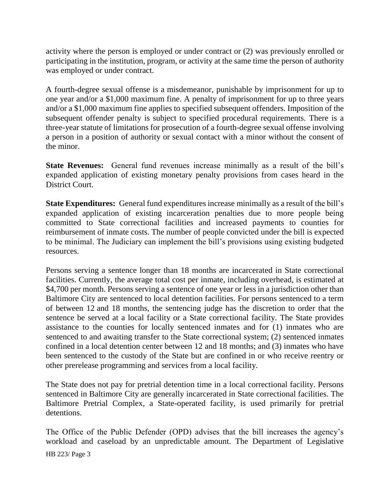activity where the person is employed or under contract or (2) was previously enrolled or participating in the institution, program, or activity at the same time the person of authority was employed or under contract.

A fourth-degree sexual offense is a misdemeanor, punishable by imprisonment for up to one year and/or a \$1,000 maximum fine. A penalty of imprisonment for up to three years and/or a \$1,000 maximum fine applies to specified subsequent offenders. Imposition of the subsequent offender penalty is subject to specified procedural requirements. There is a three-year statute of limitations for prosecution of a fourth-degree sexual offense involving a person in a position of authority or sexual contact with a minor without the consent of the minor.

**State Revenues:** General fund revenues increase minimally as a result of the bill's expanded application of existing monetary penalty provisions from cases heard in the District Court.

**State Expenditures:** General fund expenditures increase minimally as a result of the bill's expanded application of existing incarceration penalties due to more people being committed to State correctional facilities and increased payments to counties for reimbursement of inmate costs. The number of people convicted under the bill is expected to be minimal. The Judiciary can implement the bill's provisions using existing budgeted resources.

Persons serving a sentence longer than 18 months are incarcerated in State correctional facilities. Currently, the average total cost per inmate, including overhead, is estimated at \$4,700 per month. Persons serving a sentence of one year or less in a jurisdiction other than Baltimore City are sentenced to local detention facilities. For persons sentenced to a term of between 12 and 18 months, the sentencing judge has the discretion to order that the sentence be served at a local facility or a State correctional facility. The State provides assistance to the counties for locally sentenced inmates and for (1) inmates who are sentenced to and awaiting transfer to the State correctional system; (2) sentenced inmates confined in a local detention center between 12 and 18 months; and (3) inmates who have been sentenced to the custody of the State but are confined in or who receive reentry or other prerelease programming and services from a local facility.

The State does not pay for pretrial detention time in a local correctional facility. Persons sentenced in Baltimore City are generally incarcerated in State correctional facilities. The Baltimore Pretrial Complex, a State-operated facility, is used primarily for pretrial detentions.

The Office of the Public Defender (OPD) advises that the bill increases the agency's workload and caseload by an unpredictable amount. The Department of Legislative

HB 223/ Page 3